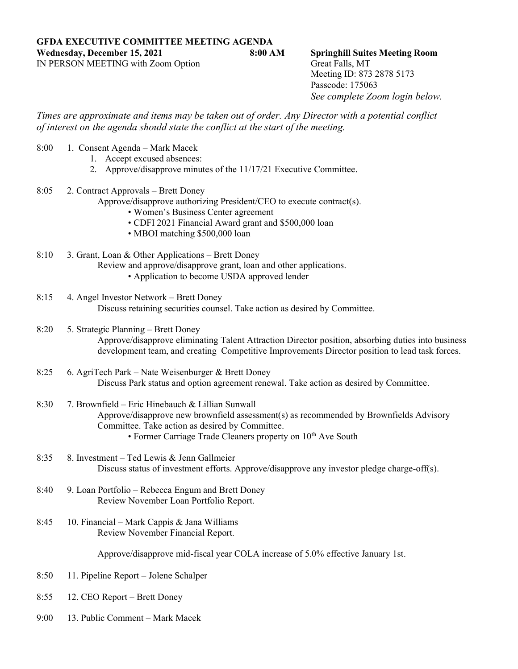**GFDA EXECUTIVE COMMITTEE MEETING AGENDA Wednesday, December 15, 2021 8:00 AM Springhill Suites Meeting Room** IN PERSON MEETING with Zoom Option Great Falls, MT

Meeting ID: 873 2878 5173 Passcode: 175063 *See complete Zoom login below.*

*Times are approximate and items may be taken out of order. Any Director with a potential conflict of interest on the agenda should state the conflict at the start of the meeting.*

- 8:00 1. Consent Agenda Mark Macek
	- 1. Accept excused absences:
	- 2. Approve/disapprove minutes of the 11/17/21 Executive Committee.
- 8:05 2. Contract Approvals Brett Doney
	- Approve/disapprove authorizing President/CEO to execute contract(s).
		- Women's Business Center agreement
		- CDFI 2021 Financial Award grant and \$500,000 loan
		- MBOI matching \$500,000 loan
- 8:10 3. Grant, Loan & Other Applications Brett Doney Review and approve/disapprove grant, loan and other applications. • Application to become USDA approved lender
- 8:15 4. Angel Investor Network Brett Doney Discuss retaining securities counsel. Take action as desired by Committee.
- 8:20 5. Strategic Planning Brett Doney Approve/disapprove eliminating Talent Attraction Director position, absorbing duties into business development team, and creating Competitive Improvements Director position to lead task forces.
- 8:25 6. AgriTech Park Nate Weisenburger & Brett Doney Discuss Park status and option agreement renewal. Take action as desired by Committee.
- 8:30 7. Brownfield Eric Hinebauch & Lillian Sunwall Approve/disapprove new brownfield assessment(s) as recommended by Brownfields Advisory Committee. Take action as desired by Committee. • Former Carriage Trade Cleaners property on  $10<sup>th</sup>$  Ave South
- 8:35 8. Investment Ted Lewis & Jenn Gallmeier Discuss status of investment efforts. Approve/disapprove any investor pledge charge-off(s).
- 8:40 9. Loan Portfolio Rebecca Engum and Brett Doney Review November Loan Portfolio Report.
- 8:45 10. Financial Mark Cappis & Jana Williams Review November Financial Report.

Approve/disapprove mid-fiscal year COLA increase of 5.0% effective January 1st.

- 8:50 11. Pipeline Report Jolene Schalper
- 8:55 12. CEO Report Brett Doney
- 9:00 13. Public Comment Mark Macek